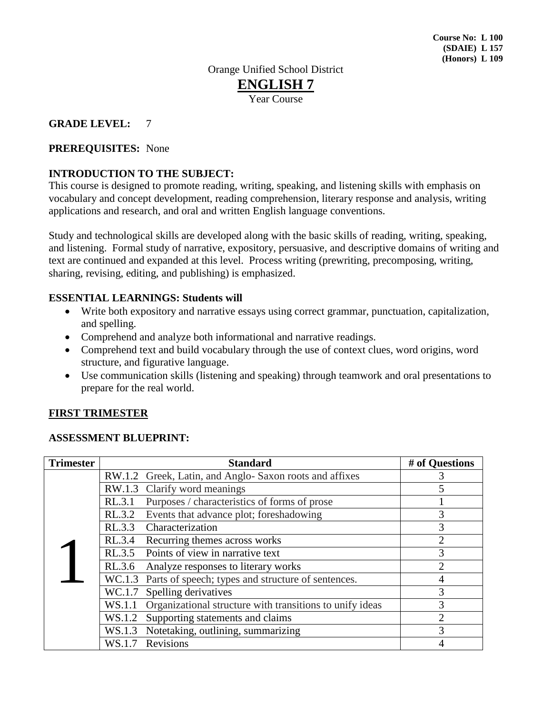## **GRADE LEVEL:** 7

### **PREREQUISITES:** None

## **INTRODUCTION TO THE SUBJECT:**

This course is designed to promote reading, writing, speaking, and listening skills with emphasis on vocabulary and concept development, reading comprehension, literary response and analysis, writing applications and research, and oral and written English language conventions.

Study and technological skills are developed along with the basic skills of reading, writing, speaking, and listening. Formal study of narrative, expository, persuasive, and descriptive domains of writing and text are continued and expanded at this level. Process writing (prewriting, precomposing, writing, sharing, revising, editing, and publishing) is emphasized.

### **ESSENTIAL LEARNINGS: Students will**

- Write both expository and narrative essays using correct grammar, punctuation, capitalization, and spelling.
- Comprehend and analyze both informational and narrative readings.
- Comprehend text and build vocabulary through the use of context clues, word origins, word structure, and figurative language.
- Use communication skills (listening and speaking) through teamwork and oral presentations to prepare for the real world.

#### **FIRST TRIMESTER**

#### **ASSESSMENT BLUEPRINT:**

| <b>Trimester</b> |        | <b>Standard</b>                                           | # of Questions              |
|------------------|--------|-----------------------------------------------------------|-----------------------------|
|                  |        | RW.1.2 Greek, Latin, and Anglo- Saxon roots and affixes   |                             |
|                  |        | RW.1.3 Clarify word meanings                              | 5                           |
|                  | RL.3.1 | Purposes / characteristics of forms of prose              |                             |
|                  | RL.3.2 | Events that advance plot; foreshadowing                   | 3                           |
|                  | RL.3.3 | Characterization                                          | 3                           |
|                  |        | RL.3.4 Recurring themes across works                      | $\overline{2}$              |
|                  |        | RL.3.5 Points of view in narrative text                   | 3                           |
|                  |        | RL.3.6 Analyze responses to literary works                | $\mathcal{D}_{\mathcal{L}}$ |
|                  |        | WC.1.3 Parts of speech; types and structure of sentences. | 4                           |
|                  |        | WC.1.7 Spelling derivatives                               | 3                           |
|                  | WS.1.1 | Organizational structure with transitions to unify ideas  |                             |
|                  | WS.1.2 | Supporting statements and claims                          | $\mathcal{D}$               |
|                  |        | WS.1.3 Notetaking, outlining, summarizing                 | 3                           |
|                  | WS.1.7 | Revisions                                                 |                             |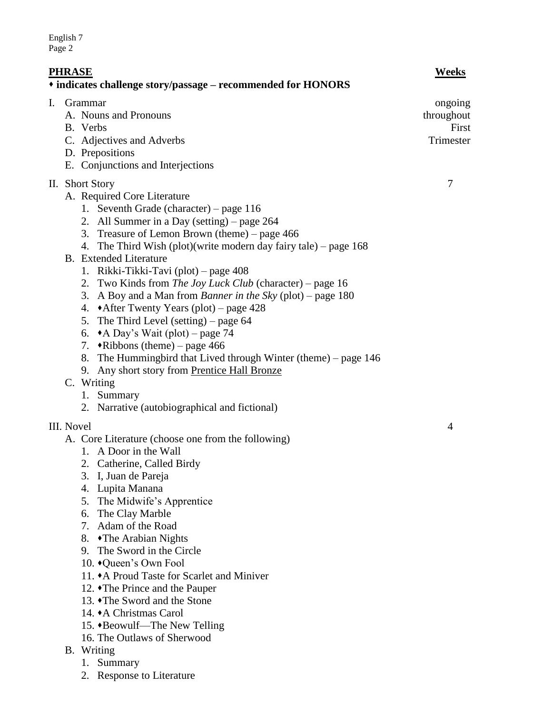| <u>PHRASE</u><br><i>i</i> indicates challenge story/passage – recommended for HONORS                                                                                                                                                                                                                                                                                                                                                                                                                                                                                                                                                                                                                                                                                                                                                                 | <b>Weeks</b>                                |
|------------------------------------------------------------------------------------------------------------------------------------------------------------------------------------------------------------------------------------------------------------------------------------------------------------------------------------------------------------------------------------------------------------------------------------------------------------------------------------------------------------------------------------------------------------------------------------------------------------------------------------------------------------------------------------------------------------------------------------------------------------------------------------------------------------------------------------------------------|---------------------------------------------|
| I.<br>Grammar<br>A. Nouns and Pronouns<br>B. Verbs<br>C. Adjectives and Adverbs<br>D. Prepositions<br>E. Conjunctions and Interjections                                                                                                                                                                                                                                                                                                                                                                                                                                                                                                                                                                                                                                                                                                              | ongoing<br>throughout<br>First<br>Trimester |
| II. Short Story<br>A. Required Core Literature<br>1. Seventh Grade (character) – page 116<br>2. All Summer in a Day (setting) – page 264<br>3. Treasure of Lemon Brown (theme) – page 466<br>4. The Third Wish (plot)(write modern day fairy tale) – page $168$<br><b>B.</b> Extended Literature<br>1. Rikki-Tikki-Tavi (plot) – page 408<br>2. Two Kinds from <i>The Joy Luck Club</i> (character) – page 16<br>3. A Boy and a Man from Banner in the Sky (plot) – page 180<br>4. After Twenty Years (plot) – page 428<br>5. The Third Level (setting) – page 64<br>6. $\triangle$ A Day's Wait (plot) – page 74<br>7. • Ribbons (theme) – page 466<br>8. The Hummingbird that Lived through Winter (theme) – page 146<br>9. Any short story from Prentice Hall Bronze<br>C. Writing<br>1. Summary<br>2. Narrative (autobiographical and fictional) | 7                                           |
| <b>III.</b> Novel<br>A. Core Literature (choose one from the following)<br>1. A Door in the Wall<br>2. Catherine, Called Birdy<br>3.<br>I, Juan de Pareja<br>Lupita Manana<br>4.<br>The Midwife's Apprentice<br>5.<br>The Clay Marble<br>6.<br>7. Adam of the Road<br>8. The Arabian Nights<br>The Sword in the Circle<br>9.<br>10. Oueen's Own Fool<br>11. A Proud Taste for Scarlet and Miniver<br>12. • The Prince and the Pauper<br>13. The Sword and the Stone                                                                                                                                                                                                                                                                                                                                                                                  | 4                                           |

- 14. A Christmas Carol
- 15. \* Beowulf—The New Telling
- 16. The Outlaws of Sherwood
- B. Writing
	- 1. Summary
	- 2. Response to Literature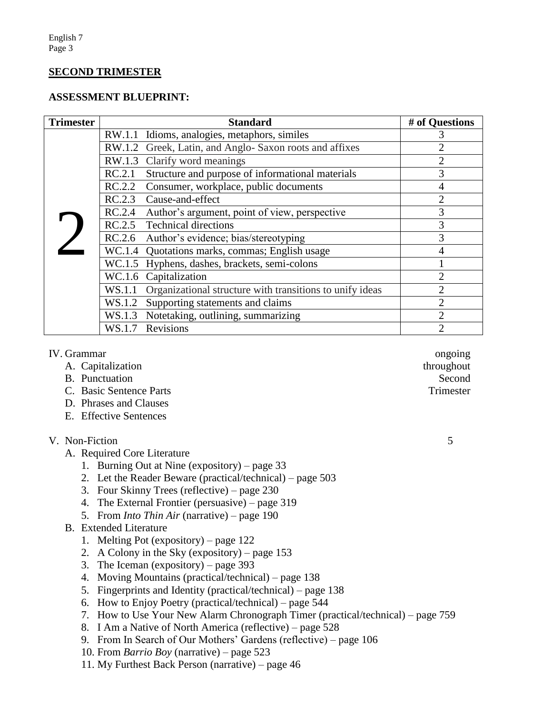#### **SECOND TRIMESTER**

### **ASSESSMENT BLUEPRINT:**

| <b>Trimester</b> | <b>Standard</b>                                                    | # of Questions |
|------------------|--------------------------------------------------------------------|----------------|
|                  | Idioms, analogies, metaphors, similes<br>RW.1.1                    |                |
|                  | Greek, Latin, and Anglo- Saxon roots and affixes<br>RW.1.2         |                |
|                  | RW.1.3 Clarify word meanings                                       | $\overline{2}$ |
|                  | Structure and purpose of informational materials<br>RC.2.1         | 3              |
|                  | Consumer, workplace, public documents<br>RC.2.2                    | 4              |
|                  | RC.2.3 Cause-and-effect                                            | $\overline{2}$ |
|                  | RC.2.4 Author's argument, point of view, perspective               | 3              |
|                  | RC.2.5 Technical directions                                        | 3              |
|                  | RC.2.6 Author's evidence; bias/stereotyping                        | 3              |
|                  | WC.1.4 Quotations marks, commas; English usage                     | 4              |
|                  | WC.1.5 Hyphens, dashes, brackets, semi-colons                      |                |
|                  | WC.1.6 Capitalization                                              | $\overline{2}$ |
|                  | Organizational structure with transitions to unify ideas<br>WS.1.1 | 2              |
|                  | Supporting statements and claims<br>WS.1.2                         | 2              |
|                  | WS.1.3 Notetaking, outlining, summarizing                          | 2              |
|                  | WS.1.7 Revisions                                                   | ∍              |

#### IV. Grammar ongoing and the set of the set of the set of the set of the set of the set of the set of the set of the set of the set of the set of the set of the set of the set of the set of the set of the set of the set of

- A. Capitalization throughout throughout throughout throughout throughout throughout throughout throughout throughout throughout throughout throughout throughout throughout throughout throughout throughout throughout throug
- B. Punctuation Second
- C. Basic Sentence Parts Trimester
- D. Phrases and Clauses
- E. Effective Sentences

#### V. Non-Fiction 5

- A. Required Core Literature
	- 1. Burning Out at Nine (expository) page 33
	- 2. Let the Reader Beware (practical/technical) page 503
	- 3. Four Skinny Trees (reflective) page 230
	- 4. The External Frontier (persuasive) page 319
	- 5. From *Into Thin Air* (narrative) page 190
- B. Extended Literature
	- 1. Melting Pot (expository) page 122
	- 2. A Colony in the Sky (expository) page 153
	- 3. The Iceman (expository) page 393
	- 4. Moving Mountains (practical/technical) page 138
	- 5. Fingerprints and Identity (practical/technical) page 138
	- 6. How to Enjoy Poetry (practical/technical) page 544
	- 7. How to Use Your New Alarm Chronograph Timer (practical/technical) page 759
	- 8. I Am a Native of North America (reflective) page 528
	- 9. From In Search of Our Mothers' Gardens (reflective) page 106
	- 10. From *Barrio Boy* (narrative) page 523
	- 11. My Furthest Back Person (narrative) page 46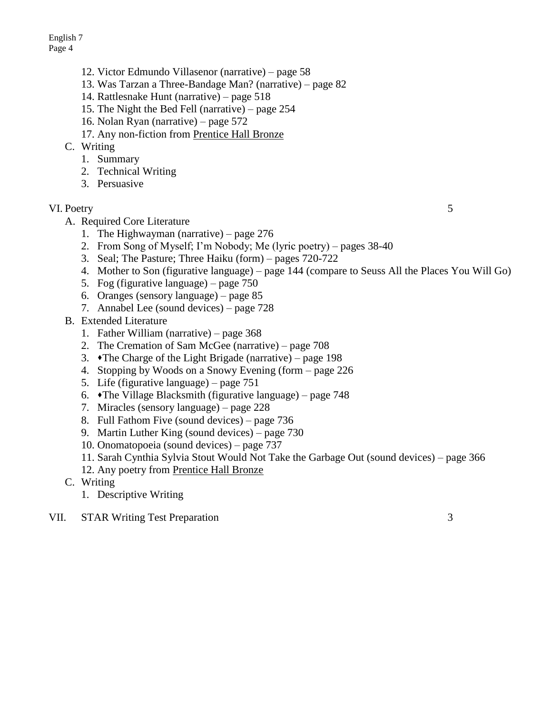- 12. Victor Edmundo Villasenor (narrative) page 58
- 13. Was Tarzan a Three-Bandage Man? (narrative) page 82
- 14. Rattlesnake Hunt (narrative) page 518
- 15. The Night the Bed Fell (narrative) page 254
- 16. Nolan Ryan (narrative) page 572
- 17. Any non-fiction from Prentice Hall Bronze
- C. Writing
	- 1. Summary
	- 2. Technical Writing
	- 3. Persuasive

## VI. Poetry 5

- A. Required Core Literature
	- 1. The Highwayman (narrative) page 276
	- 2. From Song of Myself; I'm Nobody; Me (lyric poetry) pages 38-40
	- 3. Seal; The Pasture; Three Haiku (form) pages 720-722
	- 4. Mother to Son (figurative language) page 144 (compare to Seuss All the Places You Will Go)
	- 5. Fog (figurative language) page 750
	- 6. Oranges (sensory language) page 85
	- 7. Annabel Lee (sound devices) page 728
- B. Extended Literature
	- 1. Father William (narrative) page 368
	- 2. The Cremation of Sam McGee (narrative) page 708
	- 3.  $\blacktriangleright$  The Charge of the Light Brigade (narrative) page 198
	- 4. Stopping by Woods on a Snowy Evening (form page 226
	- 5. Life (figurative language) page 751
	- 6.  $\blacktriangleright$  The Village Blacksmith (figurative language) page 748
	- 7. Miracles (sensory language) page 228
	- 8. Full Fathom Five (sound devices) page 736
	- 9. Martin Luther King (sound devices) page 730
	- 10. Onomatopoeia (sound devices) page 737
	- 11. Sarah Cynthia Sylvia Stout Would Not Take the Garbage Out (sound devices) page 366
	- 12. Any poetry from Prentice Hall Bronze
- C. Writing
	- 1. Descriptive Writing
- VII. STAR Writing Test Preparation 3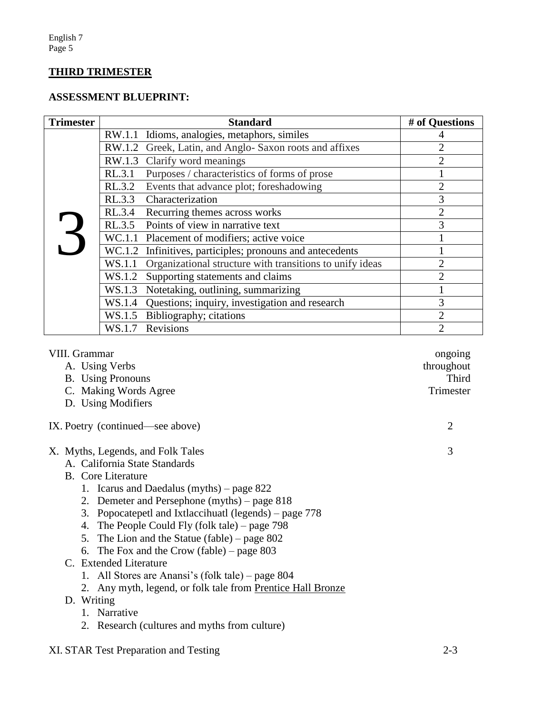## **THIRD TRIMESTER**

### **ASSESSMENT BLUEPRINT:**

| <b>Trimester</b> |        | <b>Standard</b>                                           | # of Questions              |
|------------------|--------|-----------------------------------------------------------|-----------------------------|
|                  | RW.1.1 | Idioms, analogies, metaphors, similes                     |                             |
|                  |        | RW.1.2 Greek, Latin, and Anglo- Saxon roots and affixes   |                             |
|                  |        | RW.1.3 Clarify word meanings                              | $\overline{2}$              |
|                  | RL.3.1 | Purposes / characteristics of forms of prose              |                             |
|                  |        | RL.3.2 Events that advance plot; foreshadowing            | 2                           |
|                  | RL.3.3 | Characterization                                          | 3                           |
|                  |        | RL.3.4 Recurring themes across works                      | $\overline{2}$              |
|                  |        | RL.3.5 Points of view in narrative text                   | 3                           |
|                  |        | WC.1.1 Placement of modifiers; active voice               |                             |
|                  |        | WC.1.2 Infinitives, participles; pronouns and antecedents |                             |
|                  | WS.1.1 | Organizational structure with transitions to unify ideas  | $\mathcal{D}_{\mathcal{A}}$ |
|                  | WS.1.2 | Supporting statements and claims                          | っ                           |
|                  | WS.1.3 | Notetaking, outlining, summarizing                        |                             |
|                  | WS.1.4 | Questions; inquiry, investigation and research            | 3                           |
|                  | WS.1.5 | Bibliography; citations                                   | $\overline{2}$              |
|                  | WS.1.7 | Revisions                                                 | っ                           |

VIII. Grammar ongoing

| .                        | $\sim$     |
|--------------------------|------------|
| A. Using Verbs           | throughout |
| <b>B.</b> Using Pronouns | Third      |
| C. Making Words Agree    | Trimester  |
| D. Using Modifiers       |            |
|                          |            |

IX. Poetry (continued—see above) 2

### X. Myths, Legends, and Folk Tales 3

- A. California State Standards
- B. Core Literature
	- 1. Icarus and Daedalus (myths) page 822
	- 2. Demeter and Persephone (myths) page 818
	- 3. Popocatepetl and Ixtlaccihuatl (legends) page 778
	- 4. The People Could Fly (folk tale) page 798
	- 5. The Lion and the Statue (fable) page 802
	- 6. The Fox and the Crow (fable) page 803
- C. Extended Literature
	- 1. All Stores are Anansi's (folk tale) page 804
	- 2. Any myth, legend, or folk tale from Prentice Hall Bronze
- D. Writing
	- 1. Narrative
	- 2. Research (cultures and myths from culture)
- XI. STAR Test Preparation and Testing 2-3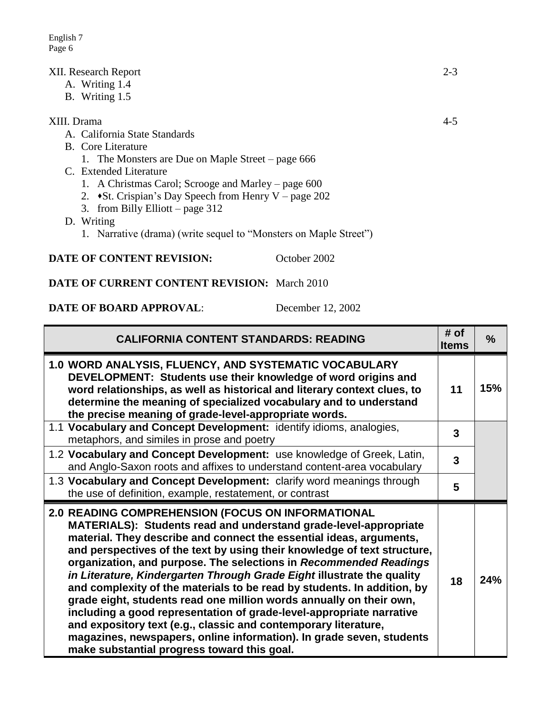## XII. Research Report 2-3

- A. Writing 1.4
- B. Writing 1.5

# XIII. Drama 4-5

- A. California State Standards
- B. Core Literature
	- 1. The Monsters are Due on Maple Street page 666
- C. Extended Literature
	- 1. A Christmas Carol; Scrooge and Marley page 600
	- 2.  $\blacktriangleright$  St. Crispian's Day Speech from Henry V page 202
	- 3. from Billy Elliott page 312
- D. Writing
	- 1. Narrative (drama) (write sequel to "Monsters on Maple Street")

# **DATE OF CONTENT REVISION:** October 2002

# **DATE OF CURRENT CONTENT REVISION:** March 2010

# **DATE OF BOARD APPROVAL**: December 12, 2002

| <b>CALIFORNIA CONTENT STANDARDS: READING</b>                                                                                                                                                                                                                                                                                                                                                                                                                                                                                                                                                                                                                                                                                                                                                                                                | # of<br><b>Items</b> | $\frac{9}{6}$ |
|---------------------------------------------------------------------------------------------------------------------------------------------------------------------------------------------------------------------------------------------------------------------------------------------------------------------------------------------------------------------------------------------------------------------------------------------------------------------------------------------------------------------------------------------------------------------------------------------------------------------------------------------------------------------------------------------------------------------------------------------------------------------------------------------------------------------------------------------|----------------------|---------------|
| 1.0 WORD ANALYSIS, FLUENCY, AND SYSTEMATIC VOCABULARY<br>DEVELOPMENT: Students use their knowledge of word origins and<br>word relationships, as well as historical and literary context clues, to<br>determine the meaning of specialized vocabulary and to understand<br>the precise meaning of grade-level-appropriate words.                                                                                                                                                                                                                                                                                                                                                                                                                                                                                                            | 11                   | 15%           |
| 1.1 Vocabulary and Concept Development: identify idioms, analogies,<br>metaphors, and similes in prose and poetry                                                                                                                                                                                                                                                                                                                                                                                                                                                                                                                                                                                                                                                                                                                           | 3                    |               |
| 1.2 Vocabulary and Concept Development: use knowledge of Greek, Latin,<br>and Anglo-Saxon roots and affixes to understand content-area vocabulary                                                                                                                                                                                                                                                                                                                                                                                                                                                                                                                                                                                                                                                                                           | 3                    |               |
| 1.3 Vocabulary and Concept Development: clarify word meanings through<br>the use of definition, example, restatement, or contrast                                                                                                                                                                                                                                                                                                                                                                                                                                                                                                                                                                                                                                                                                                           | 5                    |               |
| 2.0 READING COMPREHENSION (FOCUS ON INFORMATIONAL<br>MATERIALS): Students read and understand grade-level-appropriate<br>material. They describe and connect the essential ideas, arguments,<br>and perspectives of the text by using their knowledge of text structure,<br>organization, and purpose. The selections in Recommended Readings<br>in Literature, Kindergarten Through Grade Eight illustrate the quality<br>and complexity of the materials to be read by students. In addition, by<br>grade eight, students read one million words annually on their own,<br>including a good representation of grade-level-appropriate narrative<br>and expository text (e.g., classic and contemporary literature,<br>magazines, newspapers, online information). In grade seven, students<br>make substantial progress toward this goal. | 18                   | 24%           |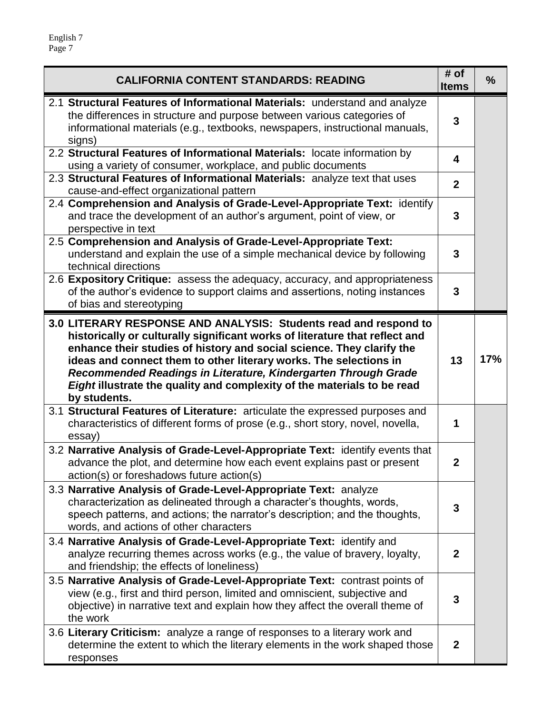| <b>CALIFORNIA CONTENT STANDARDS: READING</b>                                                                                                                                                                                                                                                                                                                                                                                                               | # of<br><b>Items</b> | $\frac{9}{6}$ |
|------------------------------------------------------------------------------------------------------------------------------------------------------------------------------------------------------------------------------------------------------------------------------------------------------------------------------------------------------------------------------------------------------------------------------------------------------------|----------------------|---------------|
| 2.1 Structural Features of Informational Materials: understand and analyze<br>the differences in structure and purpose between various categories of<br>informational materials (e.g., textbooks, newspapers, instructional manuals,<br>signs)                                                                                                                                                                                                             | 3                    |               |
| 2.2 Structural Features of Informational Materials: locate information by<br>using a variety of consumer, workplace, and public documents                                                                                                                                                                                                                                                                                                                  | 4                    |               |
| 2.3 Structural Features of Informational Materials: analyze text that uses<br>cause-and-effect organizational pattern                                                                                                                                                                                                                                                                                                                                      | $\overline{2}$       |               |
| 2.4 Comprehension and Analysis of Grade-Level-Appropriate Text: identify<br>and trace the development of an author's argument, point of view, or<br>perspective in text                                                                                                                                                                                                                                                                                    | 3                    |               |
| 2.5 Comprehension and Analysis of Grade-Level-Appropriate Text:<br>understand and explain the use of a simple mechanical device by following<br>technical directions                                                                                                                                                                                                                                                                                       | 3                    |               |
| 2.6 Expository Critique: assess the adequacy, accuracy, and appropriateness<br>of the author's evidence to support claims and assertions, noting instances<br>of bias and stereotyping                                                                                                                                                                                                                                                                     | 3                    |               |
| 3.0 LITERARY RESPONSE AND ANALYSIS: Students read and respond to<br>historically or culturally significant works of literature that reflect and<br>enhance their studies of history and social science. They clarify the<br>ideas and connect them to other literary works. The selections in<br>Recommended Readings in Literature, Kindergarten Through Grade<br>Eight illustrate the quality and complexity of the materials to be read<br>by students. | 13                   | 17%           |
| 3.1 Structural Features of Literature: articulate the expressed purposes and<br>characteristics of different forms of prose (e.g., short story, novel, novella,<br>essay)                                                                                                                                                                                                                                                                                  | 1                    |               |
| 3.2 Narrative Analysis of Grade-Level-Appropriate Text: identify events that<br>advance the plot, and determine how each event explains past or present<br>action(s) or foreshadows future action(s)                                                                                                                                                                                                                                                       | $\overline{2}$       |               |
| 3.3 Narrative Analysis of Grade-Level-Appropriate Text: analyze<br>characterization as delineated through a character's thoughts, words,<br>speech patterns, and actions; the narrator's description; and the thoughts,<br>words, and actions of other characters                                                                                                                                                                                          | 3                    |               |
| 3.4 Narrative Analysis of Grade-Level-Appropriate Text: identify and<br>analyze recurring themes across works (e.g., the value of bravery, loyalty,<br>and friendship; the effects of loneliness)                                                                                                                                                                                                                                                          | $\mathbf 2$          |               |
| 3.5 Narrative Analysis of Grade-Level-Appropriate Text: contrast points of<br>view (e.g., first and third person, limited and omniscient, subjective and<br>objective) in narrative text and explain how they affect the overall theme of<br>the work                                                                                                                                                                                                      | 3                    |               |
| 3.6 Literary Criticism: analyze a range of responses to a literary work and<br>determine the extent to which the literary elements in the work shaped those<br>responses                                                                                                                                                                                                                                                                                   | $\overline{2}$       |               |